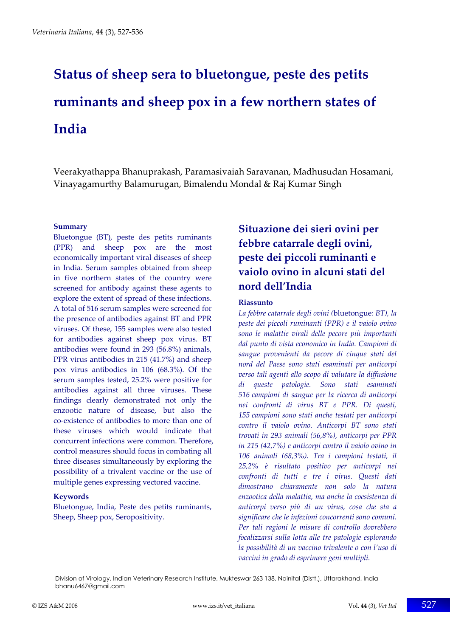# **Status of sheep sera to bluetongue, peste des petits ruminants and sheep pox in a few northern states of India**

Veerakyathappa Bhanuprakash, Paramasivaiah Saravanan, Madhusudan Hosamani, Vinayagamurthy Balamurugan, Bimalendu Mondal & Raj Kumar Singh

#### **Summary**

Bluetongue (BT), peste des petits ruminants (PPR) and sheep pox are the most economically important viral diseases of sheep in India. Serum samples obtained from sheep in five northern states of the country were screened for antibody against these agents to explore the extent of spread of these infections. A total of 516 serum samples were screened for the presence of antibodies against BT and PPR viruses. Of these, 155 samples were also tested for antibodies against sheep pox virus. BT antibodies were found in 293 (56.8%) animals, PPR virus antibodies in 215 (41.7%) and sheep pox virus antibodies in 106 (68.3%). Of the serum samples tested, 25.2% were positive for antibodies against all three viruses. These findings clearly demonstrated not only the enzootic nature of disease, but also the co‐existence of antibodies to more than one of these viruses which would indicate that concurrent infections were common. Therefore, control measures should focus in combating all three diseases simultaneously by exploring the possibility of a trivalent vaccine or the use of multiple genes expressing vectored vaccine.

#### **Keywords**

Bluetongue, India, Peste des petits ruminants, Sheep, Sheep pox, Seropositivity.

# **Situazione dei sieri ovini per febbre catarrale degli ovini, peste dei piccoli ruminanti e vaiolo ovino in alcuni stati del nord dell'India**

#### **Riassunto**

*La febbre catarrale degli ovini (*bluetongue*: BT), la peste dei piccoli ruminanti (PPR) e il vaiolo ovino sono le malattie virali delle pecore più importanti dal punto di vista economico in India. Campioni di sangue provenienti da pecore di cinque stati del nord del Paese sono stati esaminati per anticorpi verso tali agenti allo scopo di valutare la diffusione di queste patologie. Sono stati esaminati 516 campioni di sangue per la ricerca di anticorpi nei confronti di virus BT e PPR. Di questi, 155 campioni sono stati anche testati per anticorpi contro il vaiolo ovino. Anticorpi BT sono stati trovati in 293 animali (56,8%), anticorpi per PPR in 215 (42,7%) e anticorpi contro il vaiolo ovino in 106 animali (68,3%). Tra i campioni testati, il 25,2% è risultato positivo per anticorpi nei confronti di tutti e tre i virus. Questi dati dimostrano chiaramente non solo la natura enzootica della malattia, ma anche la coesistenza di anticorpi verso più di un virus, cosa che sta a significare che le infezioni concorrenti sono comuni. Per tali ragioni le misure di controllo dovrebbero focalizzarsi sulla lotta alle tre patologie esplorando la possibilità di un vaccino trivalente o con l'uso di vaccini in grado di esprimere geni multipli.*

Division of Virology, Indian Veterinary Research Institute, Mukteswar 263 138, Nainital (Distt.), Uttarakhand, India bhanu6467@gmail.com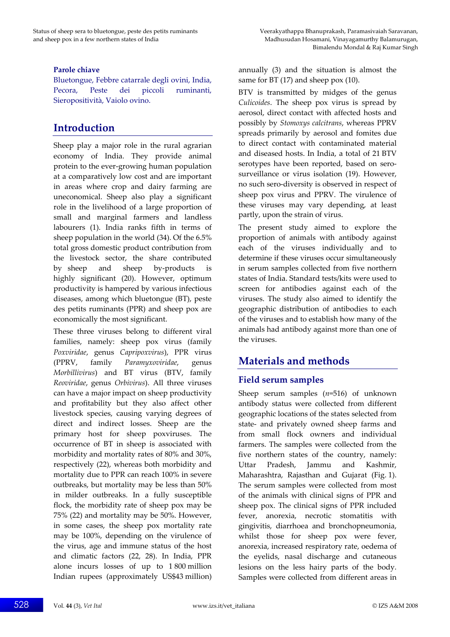Bluetongue, Febbre catarrale degli ovini, India, Pecora, Peste dei piccoli ruminanti, Sieropositività, Vaiolo ovino.

# **Introduction**

Sheep play a major role in the rural agrarian economy of India. They provide animal protein to the ever‐growing human population at a comparatively low cost and are important in areas where crop and dairy farming are uneconomical. Sheep also play a significant role in the livelihood of a large proportion of small and marginal farmers and landless labourers (1). India ranks fifth in terms of sheep population in the world (34). Of the 6.5% total gross domestic product contribution from the livestock sector, the share contributed by sheep and sheep by‐products is highly significant (20). However, optimum productivity is hampered by various infectious diseases, among which bluetongue (BT), peste des petits ruminants (PPR) and sheep pox are economically the most significant.

These three viruses belong to different viral families, namely: sheep pox virus (family *Poxviridae*, genus *Capripoxvirus*), PPR virus (PPRV, family *Paramyxoviridae*, genus *Morbillivirus*) and BT virus (BTV, family *Reoviridae*, genus *Orbivirus*). All three viruses can have a major impact on sheep productivity and profitability but they also affect other livestock species, causing varying degrees of direct and indirect losses. Sheep are the primary host for sheep poxviruses. The occurrence of BT in sheep is associated with morbidity and mortality rates of 80% and 30%, respectively (22), whereas both morbidity and mortality due to PPR can reach 100% in severe outbreaks, but mortality may be less than 50% in milder outbreaks. In a fully susceptible flock, the morbidity rate of sheep pox may be 75% (22) and mortality may be 50%. However, in some cases, the sheep pox mortality rate may be 100%, depending on the virulence of the virus, age and immune status of the host and climatic factors (22, 28). In India, PPR alone incurs losses of up to 1 800 million Indian rupees (approximately US\$43 million) annually (3) and the situation is almost the same for BT (17) and sheep pox (10).

BTV is transmitted by midges of the genus *Culicoides*. The sheep pox virus is spread by aerosol, direct contact with affected hosts and possibly by *Stomoxys calcitrans*, whereas PPRV spreads primarily by aerosol and fomites due to direct contact with contaminated material and diseased hosts. In India, a total of 21 BTV serotypes have been reported, based on serosurveillance or virus isolation (19). However, no such sero‐diversity is observed in respect of sheep pox virus and PPRV. The virulence of these viruses may vary depending, at least partly, upon the strain of virus.

The present study aimed to explore the proportion of animals with antibody against each of the viruses individually and to determine if these viruses occur simultaneously in serum samples collected from five northern states of India. Standard tests/kits were used to screen for antibodies against each of the viruses. The study also aimed to identify the geographic distribution of antibodies to each of the viruses and to establish how many of the animals had antibody against more than one of the viruses.

# **Materials and methods**

# **Field serum samples**

Sheep serum samples (*n*=516) of unknown antibody status were collected from different geographic locations of the states selected from state‐ and privately owned sheep farms and from small flock owners and individual farmers. The samples were collected from the five northern states of the country, namely: Uttar Pradesh, Jammu and Kashmir, Maharashtra, Rajasthan and Gujarat (Fig. 1). The serum samples were collected from most of the animals with clinical signs of PPR and sheep pox. The clinical signs of PPR included fever, anorexia, necrotic stomatitis with gingivitis, diarrhoea and bronchopneumonia, whilst those for sheep pox were fever, anorexia, increased respiratory rate, oedema of the eyelids, nasal discharge and cutaneous lesions on the less hairy parts of the body. Samples were collected from different areas in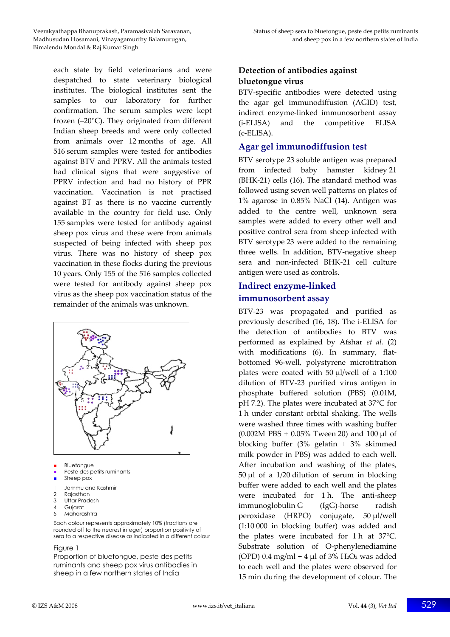each state by field veterinarians and were despatched to state veterinary biological institutes. The biological institutes sent the samples to our laboratory for further confirmation. The serum samples were kept frozen (–20°C). They originated from different Indian sheep breeds and were only collected from animals over 12 months of age. All 516 serum samples were tested for antibodies against BTV and PPRV. All the animals tested had clinical signs that were suggestive of PPRV infection and had no history of PPR vaccination. Vaccination is not practised against BT as there is no vaccine currently available in the country for field use. Only 155 samples were tested for antibody against sheep pox virus and these were from animals suspected of being infected with sheep pox virus. There was no history of sheep pox vaccination in these flocks during the previous 10 years. Only 155 of the 516 samples collected were tested for antibody against sheep pox virus as the sheep pox vaccination status of the remainder of the animals was unknown.



- **Bluetonaue**
- Peste des petits ruminants
- Sheep pox
- 1 Jammu and Kashmir
- 2 Rajasthan<br>3 Littar Prad
- Uttar Pradesh
- Gujarat 5 Maharashtra
- 
- Each colour represents approximately 10% (fractions are rounded off to the nearest integer) proportion positivity of sera to a respective disease as indicated in a different colour

#### Figure 1

Proportion of bluetongue, peste des petits ruminants and sheep pox virus antibodies in sheep in a few northern states of India

## **Detection of antibodies against bluetongue virus**

BTV‐specific antibodies were detected using the agar gel immunodiffusion (AGID) test, indirect enzyme‐linked immunosorbent assay (i‐ELISA) and the competitive ELISA (c‐ELISA).

#### **Agar gel immunodiffusion test**

BTV serotype 23 soluble antigen was prepared from infected baby hamster kidney 21 (BHK‐21) cells (16). The standard method was followed using seven well patterns on plates of 1% agarose in 0.85% NaCl (14). Antigen was added to the centre well, unknown sera samples were added to every other well and positive control sera from sheep infected with BTV serotype 23 were added to the remaining three wells. In addition, BTV‐negative sheep sera and non‐infected BHK‐21 cell culture antigen were used as controls.

## **Indirect enzyme‐linked immunosorbent assay**

BTV‐23 was propagated and purified as previously described (16, 18). The i‐ELISA for the detection of antibodies to BTV was performed as explained by Afshar *et al.* (2) with modifications (6). In summary, flatbottomed 96‐well, polystyrene microtitration plates were coated with 50 μl/well of a 1:100 dilution of BTV‐23 purified virus antigen in phosphate buffered solution (PBS) (0.01M, pH 7.2). The plates were incubated at 37°C for 1 h under constant orbital shaking. The wells were washed three times with washing buffer (0.002M PBS + 0.05% Tween 20) and 100 μl of blocking buffer (3% gelatin + 3% skimmed milk powder in PBS) was added to each well. After incubation and washing of the plates, 50 μl of a 1/20 dilution of serum in blocking buffer were added to each well and the plates were incubated for 1 h. The anti-sheep immunoglobulin G (IgG)‐horse radish peroxidase (HRPO) conjugate, 50 μl/well (1:10 000 in blocking buffer) was added and the plates were incubated for 1 h at 37°C. Substrate solution of O-phenylenediamine (OPD)  $0.4 \text{ mg/ml} + 4 \mu l$  of  $3\% \text{ H}_2\text{O}_2$  was added to each well and the plates were observed for 15 min during the development of colour. The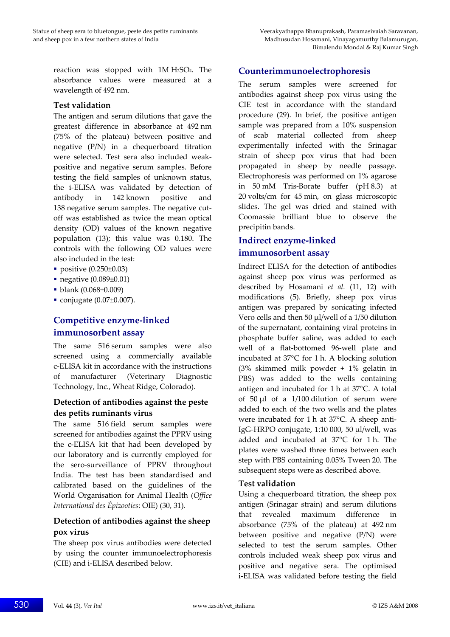reaction was stopped with 1M H2SO4. The absorbance values were measured at a wavelength of 492 nm.

#### **Test validation**

The antigen and serum dilutions that gave the greatest difference in absorbance at 492 nm (75% of the plateau) between positive and negative (P/N) in a chequerboard titration were selected. Test sera also included weak‐ positive and negative serum samples. Before testing the field samples of unknown status, the i‐ELISA was validated by detection of antibody in 142 known positive and 138 negative serum samples. The negative cutoff was established as twice the mean optical density (OD) values of the known negative population (13); this value was 0.180. The controls with the following OD values were also included in the test:

- positive (0.250±0.03)
- negative (0.089±0.01)
- blank (0.068±0.009)
- conjugate (0.07±0.007).

# **Competitive enzyme‐linked immunosorbent assay**

The same 516 serum samples were also screened using a commercially available c‐ELISA kit in accordance with the instructions of manufacturer (Veterinary Diagnostic Technology, Inc., Wheat Ridge, Colorado).

#### **Detection of antibodies against the peste des petits ruminants virus**

The same 516 field serum samples were screened for antibodies against the PPRV using the c‐ELISA kit that had been developed by our laboratory and is currently employed for the sero‐surveillance of PPRV throughout India. The test has been standardised and calibrated based on the guidelines of the World Organisation for Animal Health (*Office International des Épizooties*: OIE) (30, 31).

## **Detection of antibodies against the sheep pox virus**

The sheep pox virus antibodies were detected by using the counter immunoelectrophoresis (CIE) and i‐ELISA described below.

### **Counterimmunoelectrophoresis**

The serum samples were screened for antibodies against sheep pox virus using the CIE test in accordance with the standard procedure (29). In brief, the positive antigen sample was prepared from a 10% suspension of scab material collected from sheep experimentally infected with the Srinagar strain of sheep pox virus that had been propagated in sheep by needle passage. Electrophoresis was performed on 1% agarose in 50 mM Tris‐Borate buffer (pH 8.3) at 20 volts/cm for 45 min, on glass microscopic slides. The gel was dried and stained with Coomassie brilliant blue to observe the precipitin bands.

## **Indirect enzyme‐linked immunosorbent assay**

Indirect ELISA for the detection of antibodies against sheep pox virus was performed as described by Hosamani *et al.* (11, 12) with modifications (5). Briefly, sheep pox virus antigen was prepared by sonicating infected Vero cells and then 50 μl/well of a 1/50 dilution of the supernatant, containing viral proteins in phosphate buffer saline, was added to each well of a flat‐bottomed 96‐well plate and incubated at 37°C for 1 h. A blocking solution (3% skimmed milk powder + 1% gelatin in PBS) was added to the wells containing antigen and incubated for 1 h at 37°C. A total of  $50 \mu l$  of a  $1/100$  dilution of serum were added to each of the two wells and the plates were incubated for 1 h at 37°C. A sheep anti-IgG‐HRPO conjugate, 1:10 000, 50 μl/well, was added and incubated at 37°C for 1 h. The plates were washed three times between each step with PBS containing 0.05% Tween 20. The subsequent steps were as described above.

#### **Test validation**

Using a chequerboard titration, the sheep pox antigen (Srinagar strain) and serum dilutions that revealed maximum difference in absorbance (75% of the plateau) at 492 nm between positive and negative (P/N) were selected to test the serum samples. Other controls included weak sheep pox virus and positive and negative sera. The optimised i‐ELISA was validated before testing the field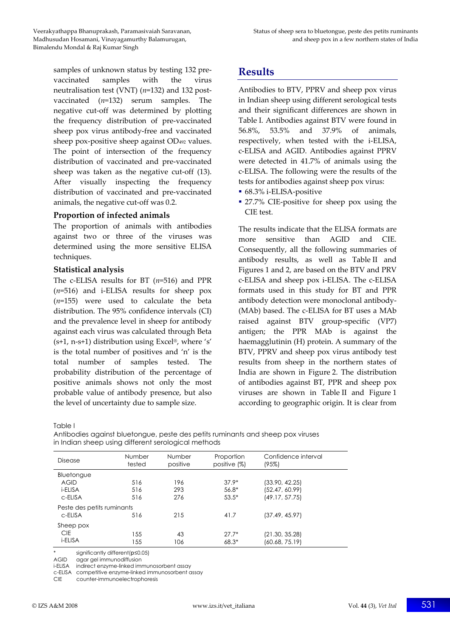samples of unknown status by testing 132 prevaccinated samples with the virus neutralisation test (VNT) (*n*=132) and 132 post‐ vaccinated (*n*=132) serum samples. The negative cut‐off was determined by plotting the frequency distribution of pre‐vaccinated sheep pox virus antibody‐free and vaccinated sheep pox‐positive sheep against OD492 values. The point of intersection of the frequency distribution of vaccinated and pre‐vaccinated sheep was taken as the negative cut-off (13). After visually inspecting the frequency distribution of vaccinated and pre‐vaccinated animals, the negative cut‐off was 0.2.

#### **Proportion of infected animals**

The proportion of animals with antibodies against two or three of the viruses was determined using the more sensitive ELISA techniques.

#### **Statistical analysis**

The c‐ELISA results for BT (*n*=516) and PPR (*n*=516) and i‐ELISA results for sheep pox (*n*=155) were used to calculate the beta distribution. The 95% confidence intervals (CI) and the prevalence level in sheep for antibody against each virus was calculated through Beta  $(s+1, n-s+1)$  distribution using Excel®, where 's' is the total number of positives and 'n' is the total number of samples tested. The probability distribution of the percentage of positive animals shows not only the most probable value of antibody presence, but also the level of uncertainty due to sample size.

**Results**

Antibodies to BTV, PPRV and sheep pox virus in Indian sheep using different serological tests and their significant differences are shown in Table I. Antibodies against BTV were found in 56.8%, 53.5% and 37.9% of animals, respectively, when tested with the i‐ELISA, c‐ELISA and AGID. Antibodies against PPRV were detected in 41.7% of animals using the c‐ELISA. The following were the results of the tests for antibodies against sheep pox virus:

- 68.3% i-ELISA-positive
- 27.7% CIE-positive for sheep pox using the CIE test.

The results indicate that the ELISA formats are more sensitive than AGID and CIE. Consequently, all the following summaries of antibody results, as well as Table II and Figures 1 and 2, are based on the BTV and PRV c‐ELISA and sheep pox i‐ELISA. The c‐ELISA formats used in this study for BT and PPR antibody detection were monoclonal antibody‐ (MAb) based. The c‐ELISA for BT uses a MAb raised against BTV group‐specific (VP7) antigen; the PPR MAb is against the haemagglutinin (H) protein. A summary of the BTV, PPRV and sheep pox virus antibody test results from sheep in the northern states of India are shown in Figure 2. The distribution of antibodies against BT, PPR and sheep pox viruses are shown in Table II and Figure 1 according to geographic origin. It is clear from

Table I

| Disease                    | Number<br>tested | Number<br>positive | Proportion<br>positive (%) | Confidence interval<br>(95%) |  |  |
|----------------------------|------------------|--------------------|----------------------------|------------------------------|--|--|
| Bluetongue                 |                  |                    |                            |                              |  |  |
| <b>AGID</b>                | 516              | 196                | $37.9*$                    | (33.90, 42.25)               |  |  |
| i-ELISA                    | 516              | 293                | 56.8*                      | (52.47, 60.99)               |  |  |
| c-ELISA                    | 516              | 276                | $53.5*$                    | (49.17, 57.75)               |  |  |
| Peste des petits ruminants |                  |                    |                            |                              |  |  |
| c-ELISA                    | 516              | 215                | 41.7                       | (37.49, 45.97)               |  |  |
| Sheep pox                  |                  |                    |                            |                              |  |  |
| <b>CIE</b>                 | 155              | 43                 | $27.7*$                    | (21.30, 35.28)               |  |  |
| i-ELISA                    | 155              | 106                | $68.3*$                    | (60.68, 75.19)               |  |  |
|                            |                  |                    |                            |                              |  |  |

Antibodies against bluetongue, peste des petits ruminants and sheep pox viruses in Indian sheep using different serological methods

\* significantly different(*p*≤0.05)

agar gel immunodiffusion

i-ELISA indirect enzyme-linked immunosorbent assay

c-ELISA competitive enzyme-linked immunosorbent assay

CIE counter-immunoelectrophoresis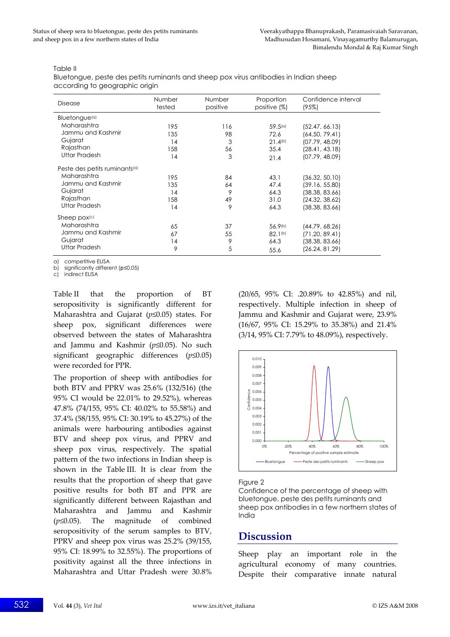#### Table II

Bluetongue, peste des petits ruminants and sheep pox virus antibodies in Indian sheep according to geographic origin

| Disease                                   | Number<br>tested | <b>Number</b><br>positive | Proportion<br>positive $(\%)$ | Confidence interval<br>(95%) |  |  |  |
|-------------------------------------------|------------------|---------------------------|-------------------------------|------------------------------|--|--|--|
| Bluetongue <sup>(a)</sup>                 |                  |                           |                               |                              |  |  |  |
| Maharashtra                               | 195              | 116                       | 59.5(a)                       | (52.47, 66.13)               |  |  |  |
| Jammu and Kashmir                         | 135              | 98                        | 72.6                          | (64.50, 79.41)               |  |  |  |
| Gujarat                                   | 14               | 3                         | 21.4(b)                       | (07.79, 48.09)               |  |  |  |
| Rajasthan                                 | 158              | 56                        | 35.4                          | (28.41, 43.18)               |  |  |  |
| <b>Uttar Pradesh</b>                      | 14               | 3                         | 21.4                          | (07.79, 48.09)               |  |  |  |
| Peste des petits ruminants <sup>(a)</sup> |                  |                           |                               |                              |  |  |  |
| Maharashtra                               | 195              | 84                        | 43.1                          | (36.32, 50.10)               |  |  |  |
| Jammu and Kashmir                         | 135              | 64                        | 47.4                          | (39.16, 55.80)               |  |  |  |
| Gujarat                                   | 14               | 9                         | 64.3                          | (38.38, 83.66)               |  |  |  |
| Rajasthan                                 | 158              | 49                        | 31.0                          | (24.32, 38.62)               |  |  |  |
| Uttar Pradesh                             | 14               | 9                         | 64.3                          | (38.38, 83.66)               |  |  |  |
| Sheep pox(c)                              |                  |                           |                               |                              |  |  |  |
| Maharashtra                               | 65               | 37                        | 56.9(b)                       | (44.79, 68.26)               |  |  |  |
| Jammu and Kashmir                         | 67               | 55                        | 82.1 <sup>(b)</sup>           | (71.20, 89.41)               |  |  |  |
| Gujarat                                   | 14               | 9                         | 64.3                          | (38.38, 83.66)               |  |  |  |
| <b>Uttar Pradesh</b>                      | 9                | 5                         | 55.6                          | (26.24, 81.29)               |  |  |  |

a) competitive ELISA

b) significantly different (*p*≤0.05)

c) indirect ELISA

Table II that the proportion of BT seropositivity is significantly different for Maharashtra and Gujarat (*p*≤0.05) states. For sheep pox, significant differences were observed between the states of Maharashtra and Jammu and Kashmir (*p*≤0.05). No such significant geographic differences (*p*≤0.05) were recorded for PPR.

The proportion of sheep with antibodies for both BTV and PPRV was 25.6% (132/516) (the 95% CI would be 22.01% to 29.52%), whereas 47.8% (74/155, 95% CI: 40.02% to 55.58%) and 37.4% (58/155, 95% CI: 30.19% to 45.27%) of the animals were harbouring antibodies against BTV and sheep pox virus, and PPRV and sheep pox virus, respectively. The spatial pattern of the two infections in Indian sheep is shown in the Table III. It is clear from the results that the proportion of sheep that gave positive results for both BT and PPR are significantly different between Rajasthan and Maharashtra and Jammu and Kashmir (*p*≤0.05). The magnitude of combined seropositivity of the serum samples to BTV, PPRV and sheep pox virus was 25.2% (39/155, 95% CI: 18.99% to 32.55%). The proportions of positivity against all the three infections in Maharashtra and Uttar Pradesh were 30.8%

(20/65, 95% CI: .20.89% to 42.85%) and nil, respectively. Multiple infection in sheep of Jammu and Kashmir and Gujarat were, 23.9% (16/67, 95% CI: 15.29% to 35.38%) and 21.4% (3/14, 95% CI: 7.79% to 48.09%), respectively.



#### Figure 2

Confidence of the percentage of sheep with bluetongue, peste des petits ruminants and sheep pox antibodies in a few northern states of India

# **Discussion**

Sheep play an important role in the agricultural economy of many countries. Despite their comparative innate natural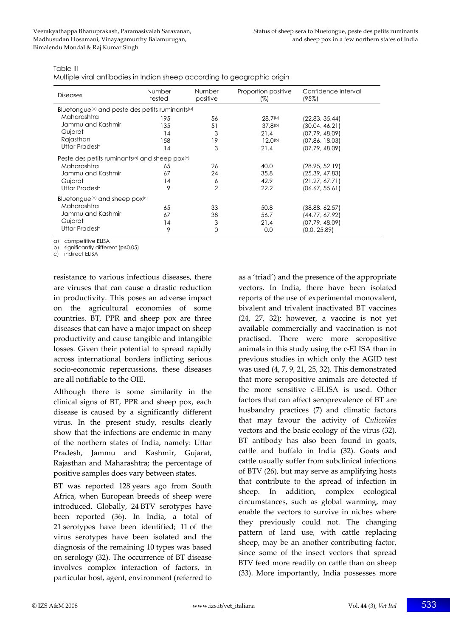| Table III |  |
|-----------|--|
|-----------|--|

Multiple viral antibodies in Indian sheep according to geographic origin

| <b>Diseases</b>                                                         | Number<br>tested | Number<br>positive | Proportion positive<br>(%) | Confidence interval<br>(95%) |  |  |  |  |
|-------------------------------------------------------------------------|------------------|--------------------|----------------------------|------------------------------|--|--|--|--|
| Bluetongue <sup>(a)</sup> and peste des petits ruminants <sup>(a)</sup> |                  |                    |                            |                              |  |  |  |  |
| Maharashtra                                                             | 195              | 56                 | 28.7 <sup>(b)</sup>        | (22.83, 35.44)               |  |  |  |  |
| Jammu and Kashmir                                                       | 135              | 51                 | 37.8 <sup>(b)</sup>        | (30.04, 46.21)               |  |  |  |  |
| Gujarat                                                                 | 14               | 3                  | 21.4                       | (07.79, 48.09)               |  |  |  |  |
| Rajasthan                                                               | 158              | 19                 | $12.0^{(b)}$               | (07.86, 18.03)               |  |  |  |  |
| Uttar Pradesh                                                           | 14               | 3                  | 21.4                       | (07.79, 48.09)               |  |  |  |  |
| Peste des petits ruminants <sup>(a)</sup> and sheep pox <sup>(c)</sup>  |                  |                    |                            |                              |  |  |  |  |
| Maharashtra                                                             | 65               | 26                 | 40.0                       | (28.95, 52.19)               |  |  |  |  |
| Jammu and Kashmir                                                       | 67               | 24                 | 35.8                       | (25.39, 47.83)               |  |  |  |  |
| Gujarat                                                                 | 14               | 6                  | 42.9                       | (21.27, 67.71)               |  |  |  |  |
| Uttar Pradesh                                                           | 9                | $\overline{2}$     | 22.2                       | (06.67, 55.61)               |  |  |  |  |
| Bluetongue <sup>(a)</sup> and sheep pox <sup>(c)</sup>                  |                  |                    |                            |                              |  |  |  |  |
| Maharashtra                                                             | 65               | 33                 | 50.8                       | (38.88, 62.57)               |  |  |  |  |
| Jammu and Kashmir                                                       | 67               | 38                 | 56.7                       | (44.77, 67.92)               |  |  |  |  |
| Gujarat                                                                 | 14               | 3                  | 21.4                       | (07.79, 48.09)               |  |  |  |  |
| <b>Uttar Pradesh</b>                                                    | 9                | 0                  | 0.0                        | (0.0, 25.89)                 |  |  |  |  |

a) competitive ELISA

b) significantly different (*p*≤0.05)

c) indirect ELISA

resistance to various infectious diseases, there are viruses that can cause a drastic reduction in productivity. This poses an adverse impact on the agricultural economies of some countries. BT, PPR and sheep pox are three diseases that can have a major impact on sheep productivity and cause tangible and intangible losses. Given their potential to spread rapidly across international borders inflicting serious socio‐economic repercussions, these diseases are all notifiable to the OIE.

Although there is some similarity in the clinical signs of BT, PPR and sheep pox, each disease is caused by a significantly different virus. In the present study, results clearly show that the infections are endemic in many of the northern states of India, namely: Uttar Pradesh, Jammu and Kashmir, Gujarat, Rajasthan and Maharashtra; the percentage of positive samples does vary between states.

BT was reported 128 years ago from South Africa, when European breeds of sheep were introduced. Globally, 24 BTV serotypes have been reported (36). In India, a total of 21 serotypes have been identified; 11 of the virus serotypes have been isolated and the diagnosis of the remaining 10 types was based on serology (32). The occurrence of BT disease involves complex interaction of factors, in particular host, agent, environment (referred to as a 'triad') and the presence of the appropriate vectors. In India, there have been isolated reports of the use of experimental monovalent, bivalent and trivalent inactivated BT vaccines  $(24, 27, 32)$ ; however, a vaccine is not yet available commercially and vaccination is not practised. There were more seropositive animals in this study using the c‐ELISA than in previous studies in which only the AGID test was used (4, 7, 9, 21, 25, 32). This demonstrated that more seropositive animals are detected if the more sensitive c‐ELISA is used. Other factors that can affect seroprevalence of BT are husbandry practices (7) and climatic factors that may favour the activity of C*ulicoides* vectors and the basic ecology of the virus (32). BT antibody has also been found in goats, cattle and buffalo in India (32). Goats and cattle usually suffer from subclinical infections of BTV (26), but may serve as amplifying hosts that contribute to the spread of infection in sheep. In addition, complex ecological circumstances, such as global warming, may enable the vectors to survive in niches where they previously could not. The changing pattern of land use, with cattle replacing sheep, may be an another contributing factor, since some of the insect vectors that spread BTV feed more readily on cattle than on sheep (33). More importantly, India possesses more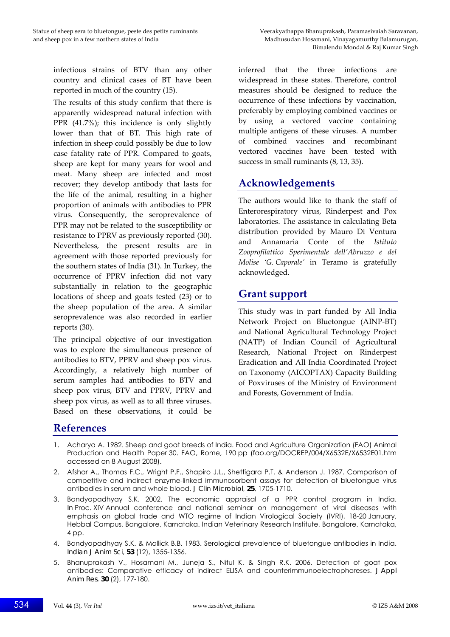infectious strains of BTV than any other country and clinical cases of BT have been reported in much of the country (15).

The results of this study confirm that there is apparently widespread natural infection with PPR (41.7%); this incidence is only slightly lower than that of BT. This high rate of infection in sheep could possibly be due to low case fatality rate of PPR. Compared to goats, sheep are kept for many years for wool and meat. Many sheep are infected and most recover; they develop antibody that lasts for the life of the animal, resulting in a higher proportion of animals with antibodies to PPR virus. Consequently, the seroprevalence of PPR may not be related to the susceptibility or resistance to PPRV as previously reported (30). Nevertheless, the present results are in agreement with those reported previously for the southern states of India (31). In Turkey, the occurrence of PPRV infection did not vary substantially in relation to the geographic locations of sheep and goats tested (23) or to the sheep population of the area. A similar seroprevalence was also recorded in earlier reports (30).

The principal objective of our investigation was to explore the simultaneous presence of antibodies to BTV, PPRV and sheep pox virus. Accordingly, a relatively high number of serum samples had antibodies to BTV and sheep pox virus, BTV and PPRV, PPRV and sheep pox virus, as well as to all three viruses. Based on these observations, it could be

inferred that the three infections are widespread in these states. Therefore, control measures should be designed to reduce the occurrence of these infections by vaccination, preferably by employing combined vaccines or by using a vectored vaccine containing multiple antigens of these viruses. A number of combined vaccines and recombinant vectored vaccines have been tested with success in small ruminants (8, 13, 35).

# **Acknowledgements**

The authors would like to thank the staff of Enterorespiratory virus, Rinderpest and Pox laboratories. The assistance in calculating Beta distribution provided by Mauro Di Ventura and Annamaria Conte of the *Istituto Zooprofilattico Sperimentale dell'Abruzzo e del Molise 'G. Caporale'* in Teramo is gratefully acknowledged.

# **Grant support**

This study was in part funded by All India Network Project on Bluetongue (AINP‐BT) and National Agricultural Technology Project (NATP) of Indian Council of Agricultural Research, National Project on Rinderpest Eradication and All India Coordinated Project on Taxonomy (AICOPTAX) Capacity Building of Poxviruses of the Ministry of Environment and Forests, Government of India.

# **References**

- 1. Acharya A. 1982. Sheep and goat breeds of India. Food and Agriculture Organization (FAO) Animal Production and Health Paper 30. FAO, Rome, 190 pp (fao.org/DOCREP/004/X6532E/X6532E01.htm accessed on 8 August 2008).
- 2. Afshar A., Thomas F.C., Wright P.F., Shapiro J.L., Shettigara P.T. & Anderson J. 1987. Comparison of competitive and indirect enzyme-linked immunosorbent assays for detection of bluetongue virus antibodies in serum and whole blood. *J Clin Microbiol*, **25**, 1705-1710.
- 3. Bandyopadhyay S.K. 2002. The economic appraisal of a PPR control program in India. *In* Proc. XIV Annual conference and national seminar on management of viral diseases with emphasis on global trade and WTO regime of Indian Virological Society (IVRI), 18-20 January, Hebbal Campus, Bangalore, Karnataka. Indian Veterinary Research Institute, Bangalore, Karnataka, 4 pp.
- 4. Bandyopadhyay S.K. & Mallick B.B. 1983. Serological prevalence of bluetongue antibodies in India. *Indian J Anim Sci*, **53** (12), 1355-1356.
- 5. Bhanuprakash V., Hosamani M., Juneja S., Nitul K. & Singh R.K. 2006. Detection of goat pox antibodies: Comparative efficacy of indirect ELISA and counterimmunoelectrophoreses. *J Appl Anim Res*, **30** (2), 177-180.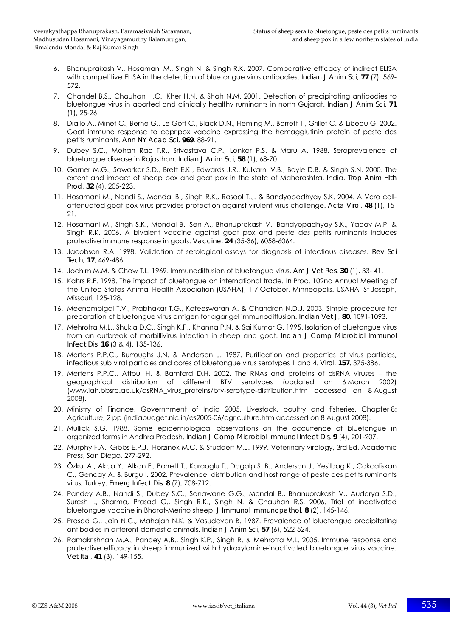- 6. Bhanuprakash V., Hosamani M., Singh N. & Singh R.K. 2007. Comparative efficacy of indirect ELISA with competitive ELISA in the detection of bluetongue virus antibodies. *Indian J Anim Sci*, **77** (7), 569- 572.
- 7. Chandel B.S., Chauhan H.C., Kher H.N. & Shah N.M. 2001. Detection of precipitating antibodies to bluetongue virus in aborted and clinically healthy ruminants in north Gujarat. *Indian J Anim Sci*, **71** (1), 25-26.
- 8. Diallo A., Minet C., Berhe G., Le Goff C., Black D.N., Fleming M., Barrett T., Grillet C. & Libeau G. 2002. Goat immune response to capripox vaccine expressing the hemagglutinin protein of peste des petits ruminants. *Ann NY Acad Sci*, **969**, 88-91.
- 9. Dubey S.C., Mohan Rao T.R., Srivastava C.P., Lonkar P.S. & Maru A. 1988. Seroprevalence of bluetongue disease in Rajasthan. *Indian J Anim Sci*, **58** (1), 68-70.
- 10. Garner M.G., Sawarkar S.D., Brett E.K., Edwards J.R., Kulkarni V.B., Boyle D.B. & Singh S.N. 2000. The extent and impact of sheep pox and goat pox in the state of Maharashtra, India. *Trop Anim Hlth Prod*, **32** (4), 205-223.
- 11. Hosamani M., Nandi S., Mondal B., Singh R.K., Rasool T.J. & Bandyopadhyay S.K. 2004. A Vero cellattenuated goat pox virus provides protection against virulent virus challenge. *Acta Virol*, **48** (1), 15- 21.
- 12. Hosamani M., Singh S.K., Mondal B., Sen A., Bhanuprakash V., Bandyopadhyay S.K., Yadav M.P. & Singh R.K. 2006. A bivalent vaccine against goat pox and peste des petits ruminants induces protective immune response in goats. *Vaccine*, **24** (35-36), 6058-6064.
- 13. Jacobson R.A. 1998. Validation of serological assays for diagnosis of infectious diseases. *Rev Sci Tech*, **17**, 469-486.
- 14. Jochim M.M. & Chow T.L. 1969. Immunodiffusion of bluetongue virus. *Am J Vet Res*, **30** (1), 33- 41.
- 15. Kahrs R.F. 1998. The impact of bluetongue on international trade. *In* Proc. 102nd Annual Meeting of the United States Animal Health Association (USAHA), 1-7 October, Minneapolis. USAHA, St Joseph, Missouri, 125-128.
- 16. Meenambigai T.V., Prabhakar T.G., Koteeswaran A. & Chandran N.D.J. 2003. Simple procedure for preparation of bluetongue virus antigen for agar gel immunodiffusion. *Indian Vet J*, **80**, 1091-1093.
- 17. Mehrotra M.L., Shukla D.C., Singh K.P., Khanna P.N. & Sai Kumar G. 1995. Isolation of bluetongue virus from an outbreak of morbillivirus infection in sheep and goat. *Indian J Comp Microbiol Immunol Infect Dis*, **16** (3 & 4), 135-136.
- 18. Mertens P.P.C., Burroughs J.N. & Anderson J. 1987. Purification and properties of virus particles, infectious sub viral particles and cores of bluetongue virus serotypes 1 and 4. *Virol*, **157**, 375-386.
- 19. Mertens P.P.C., Attoui H. & Bamford D.H. 2002. The RNAs and proteins of dsRNA viruses the geographical distribution of different BTV serotypes (updated on 6 March 2002) (www.iah.bbsrc.ac.uk/dsRNA\_virus\_proteins/btv-serotype-distribution.htm accessed on 8 August 2008).
- 20. Ministry of Finance, Governnment of India 2005. Livestock, poultry and fisheries, Chapter 8: Agriculture, 2 pp (indiabudget.nic.in/es2005-06/agriculture.htm accessed on 8 August 2008).
- 21. Mullick S.G. 1988. Some epidemiological observations on the occurrence of bluetongue in organized farms in Andhra Pradesh. *Indian J Comp Microbiol Immunol Infect Dis*, **9** (4), 201-207.
- 22. Murphy F.A., Gibbs E.P.J., Horzinek M.C. & Studdert M.J. 1999. Veterinary virology, 3rd Ed. Academic Press, San Diego, 277-292.
- 23. Özkul A., Akca Y., Alkan F., Barrett T., Karaoglu T., Dagalp S. B., Anderson J., Yesilbag K., Cokcaliskan C., Gencay A. & Burgu I. 2002. Prevalence, distribution and host range of peste des petits ruminants virus, Turkey. *Emerg Infect Dis*, **8** (7), 708-712.
- 24. Pandey A.B., Nandi S., Dubey S.C., Sonawane G.G., Mondal B., Bhanuprakash V., Audarya S.D., Suresh I., Sharma, Prasad G., Singh R.K., Singh N. & Chauhan R.S. 2006. Trial of inactivated bluetongue vaccine in Bharat-Merino sheep. *J Immunol Immunopathol*, **8** (2), 145-146.
- 25. Prasad G., Jain N.C., Mahajan N.K. & Vasudevan B. 1987. Prevalence of bluetongue precipitating antibodies in different domestic animals. *Indian J Anim Sci*, **57** (6), 522-524.
- 26. Ramakrishnan M.A., Pandey A.B., Singh K.P., Singh R. & Mehrotra M.L. 2005. Immune response and protective efficacy in sheep immunized with hydroxylamine-inactivated bluetongue virus vaccine. *Vet Ital*, **41** (3), 149-155.